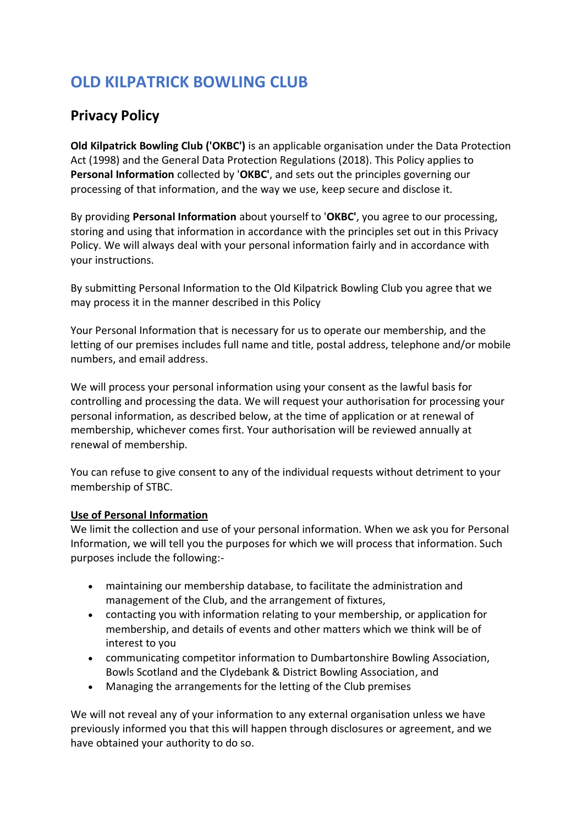# **OLD KILPATRICK BOWLING CLUB**

# **Privacy Policy**

**Old Kilpatrick Bowling Club ('OKBC')** is an applicable organisation under the Data Protection Act (1998) and the General Data Protection Regulations (2018). This Policy applies to **Personal Information** collected by '**OKBC'**, and sets out the principles governing our processing of that information, and the way we use, keep secure and disclose it.

By providing **Personal Information** about yourself to '**OKBC'**, you agree to our processing, storing and using that information in accordance with the principles set out in this Privacy Policy. We will always deal with your personal information fairly and in accordance with your instructions.

By submitting Personal Information to the Old Kilpatrick Bowling Club you agree that we may process it in the manner described in this Policy

Your Personal Information that is necessary for us to operate our membership, and the letting of our premises includes full name and title, postal address, telephone and/or mobile numbers, and email address.

We will process your personal information using your consent as the lawful basis for controlling and processing the data. We will request your authorisation for processing your personal information, as described below, at the time of application or at renewal of membership, whichever comes first. Your authorisation will be reviewed annually at renewal of membership.

You can refuse to give consent to any of the individual requests without detriment to your membership of STBC.

# **Use of Personal Information**

We limit the collection and use of your personal information. When we ask you for Personal Information, we will tell you the purposes for which we will process that information. Such purposes include the following:-

- maintaining our membership database, to facilitate the administration and management of the Club, and the arrangement of fixtures,
- contacting you with information relating to your membership, or application for membership, and details of events and other matters which we think will be of interest to you
- communicating competitor information to Dumbartonshire Bowling Association, Bowls Scotland and the Clydebank & District Bowling Association, and
- Managing the arrangements for the letting of the Club premises

We will not reveal any of your information to any external organisation unless we have previously informed you that this will happen through disclosures or agreement, and we have obtained your authority to do so.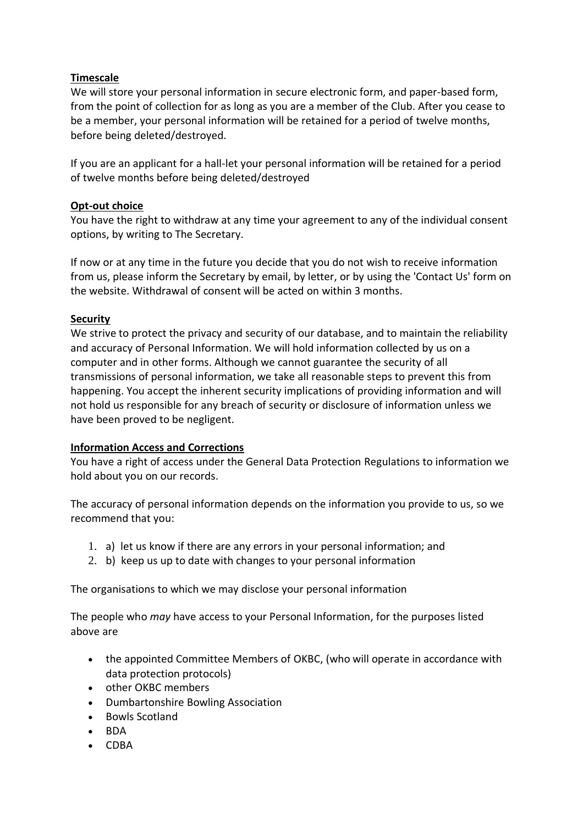# **Timescale**

We will store your personal information in secure electronic form, and paper-based form, from the point of collection for as long as you are a member of the Club. After you cease to be a member, your personal information will be retained for a period of twelve months, before being deleted/destroyed.

If you are an applicant for a hall-let your personal information will be retained for a period of twelve months before being deleted/destroyed

#### **Opt-out choice**

You have the right to withdraw at any time your agreement to any of the individual consent options, by writing to The Secretary.

If now or at any time in the future you decide that you do not wish to receive information from us, please inform the Secretary by email, by letter, or by using the 'Contact Us' form on the website. Withdrawal of consent will be acted on within 3 months.

# **Security**

We strive to protect the privacy and security of our database, and to maintain the reliability and accuracy of Personal Information. We will hold information collected by us on a computer and in other forms. Although we cannot guarantee the security of all transmissions of personal information, we take all reasonable steps to prevent this from happening. You accept the inherent security implications of providing information and will not hold us responsible for any breach of security or disclosure of information unless we have been proved to be negligent.

# **Information Access and Corrections**

You have a right of access under the General Data Protection Regulations to information we hold about you on our records.

The accuracy of personal information depends on the information you provide to us, so we recommend that you:

- 1. a) let us know if there are any errors in your personal information; and
- 2. b) keep us up to date with changes to your personal information

The organisations to which we may disclose your personal information

The people who *may* have access to your Personal Information, for the purposes listed above are

- the appointed Committee Members of OKBC, (who will operate in accordance with data protection protocols)
- other OKBC members
- Dumbartonshire Bowling Association
- Bowls Scotland
- BDA
- CDBA